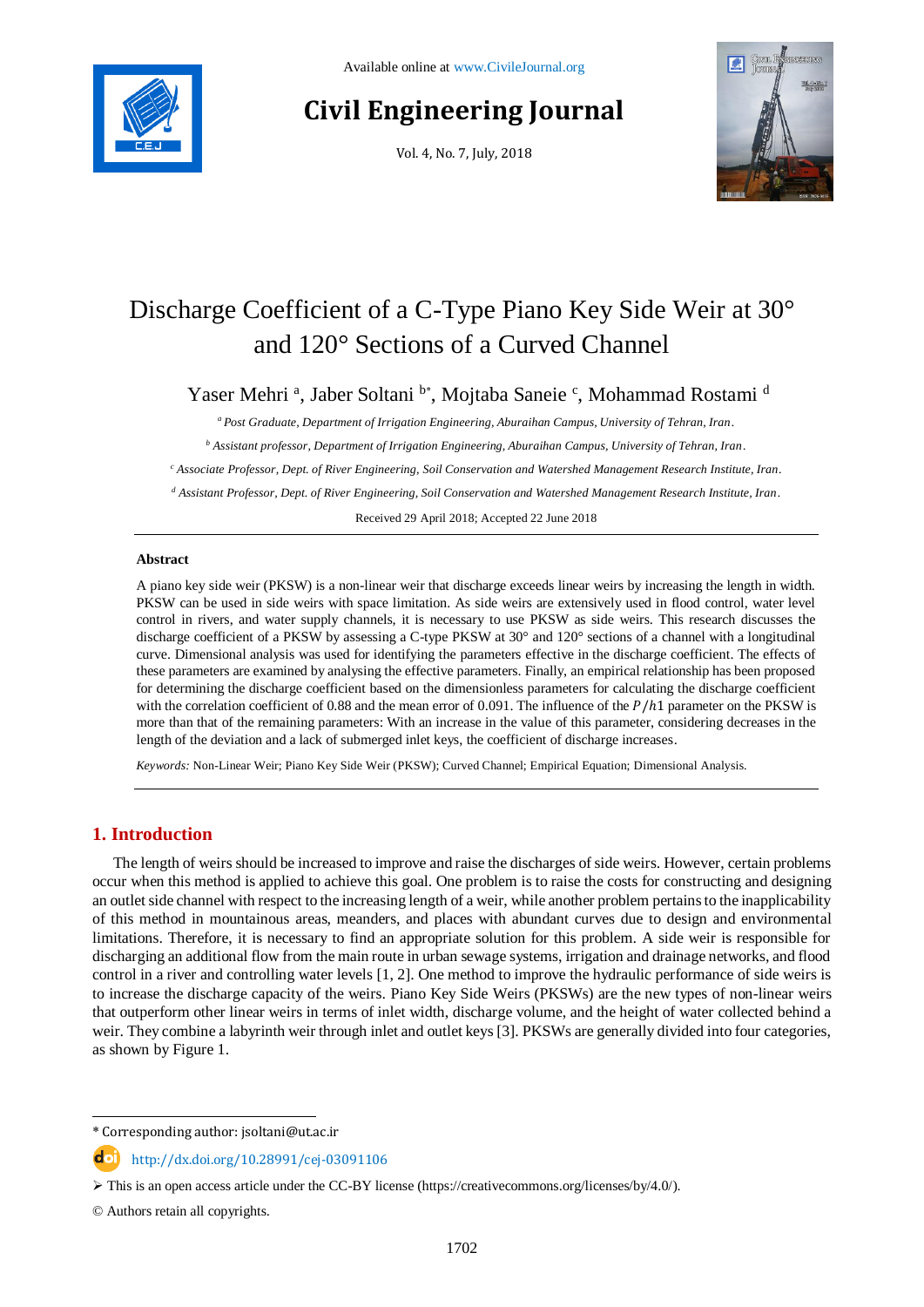

# **Civil Engineering Journal**

Vol. 4, No. 7, July, 2018



## Discharge Coefficient of a C-Type Piano Key Side Weir at 30° and 120° Sections of a Curved Channel

Yaser Mehri<sup>a</sup>, Jaber Soltani<sup>b\*</sup>, Mojtaba Saneie<sup>c</sup>, Mohammad Rostami<sup>d</sup>

*<sup>a</sup> Post Graduate, Department of Irrigation Engineering, Aburaihan Campus, University of Tehran, Iran.*

*<sup>b</sup> Assistant professor, Department of Irrigation Engineering, Aburaihan Campus, University of Tehran, Iran.*

*<sup>c</sup> Associate Professor, Dept. of River Engineering, Soil Conservation and Watershed Management Research Institute, Iran.*

*<sup>d</sup> Assistant Professor, Dept. of River Engineering, Soil Conservation and Watershed Management Research Institute, Iran.*

Received 29 April 2018; Accepted 22 June 2018

#### **Abstract**

A piano key side weir (PKSW) is a non-linear weir that discharge exceeds linear weirs by increasing the length in width. PKSW can be used in side weirs with space limitation. As side weirs are extensively used in flood control, water level control in rivers, and water supply channels, it is necessary to use PKSW as side weirs. This research discusses the discharge coefficient of a PKSW by assessing a C-type PKSW at 30° and 120° sections of a channel with a longitudinal curve. Dimensional analysis was used for identifying the parameters effective in the discharge coefficient. The effects of these parameters are examined by analysing the effective parameters. Finally, an empirical relationship has been proposed for determining the discharge coefficient based on the dimensionless parameters for calculating the discharge coefficient with the correlation coefficient of 0.88 and the mean error of 0.091. The influence of the  $P/h1$  parameter on the PKSW is more than that of the remaining parameters: With an increase in the value of this parameter, considering decreases in the length of the deviation and a lack of submerged inlet keys, the coefficient of discharge increases.

*Keywords:* Non-Linear Weir; Piano Key Side Weir (PKSW); Curved Channel; Empirical Equation; Dimensional Analysis.

### **1. Introduction**

The length of weirs should be increased to improve and raise the discharges of side weirs. However, certain problems occur when this method is applied to achieve this goal. One problem is to raise the costs for constructing and designing an outlet side channel with respect to the increasing length of a weir, while another problem pertains to the inapplicability of this method in mountainous areas, meanders, and places with abundant curves due to design and environmental limitations. Therefore, it is necessary to find an appropriate solution for this problem. A side weir is responsible for discharging an additional flow from the main route in urban sewage systems, irrigation and drainage networks, and flood control in a river and controlling water levels [1, 2]. One method to improve the hydraulic performance of side weirs is to increase the discharge capacity of the weirs. Piano Key Side Weirs (PKSWs) are the new types of non-linear weirs that outperform other linear weirs in terms of inlet width, discharge volume, and the height of water collected behind a weir. They combine a labyrinth weir through inlet and outlet keys [3]. PKSWs are generally divided into four categories, as shown by Figure 1.

l

<sup>\*</sup> Corresponding author: jsoltani@ut.ac.ir

http://dx.doi.org/10.28991/cej-03091106

 $\triangleright$  This is an open access article under the CC-BY license [\(https://creativecommons.org/licenses/by/4.0/\)](https://creativecommons.org/licenses/by/4.0/).

<sup>©</sup> Authors retain all copyrights.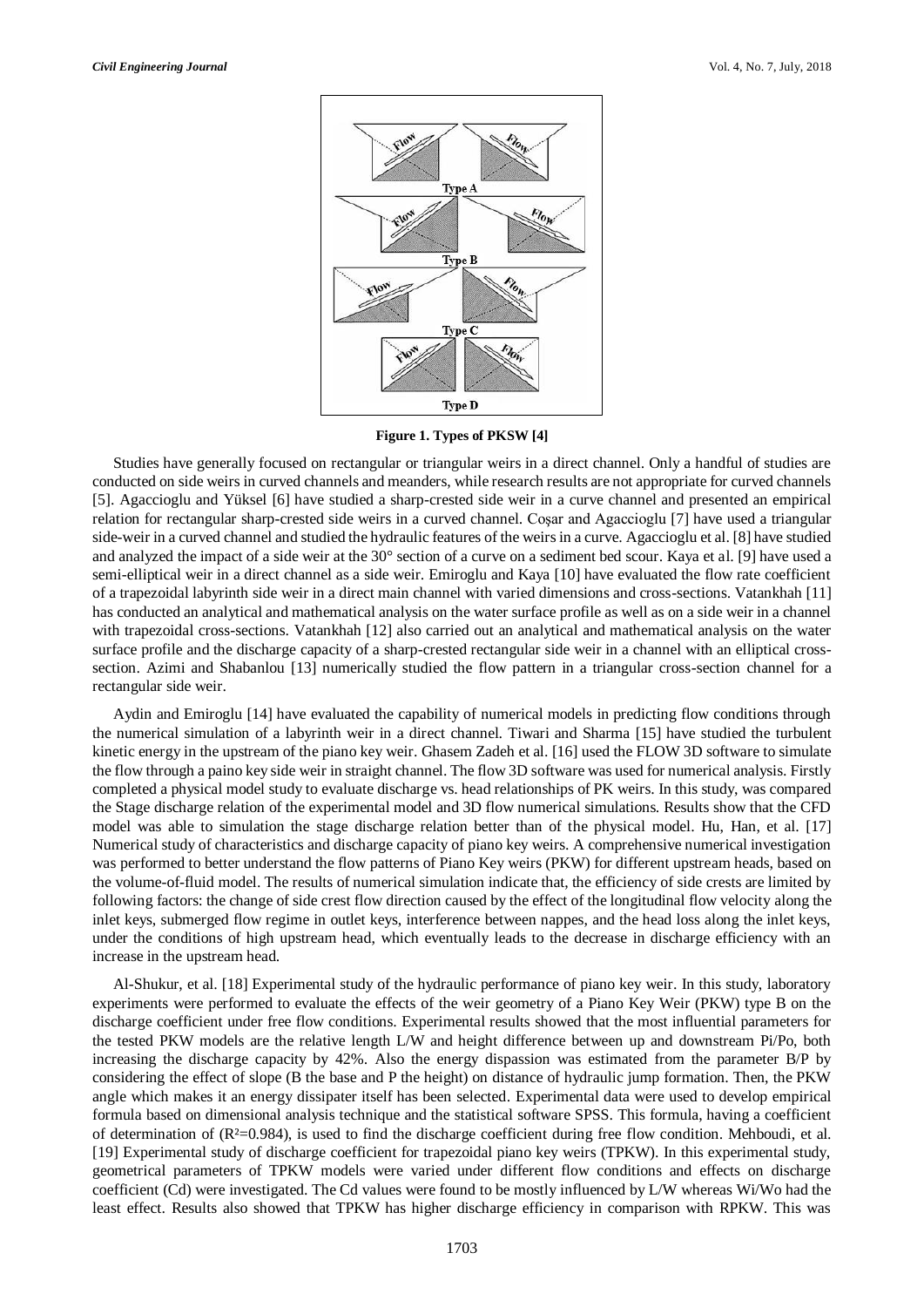

**Figure 1. Types of PKSW [4]**

Studies have generally focused on rectangular or triangular weirs in a direct channel. Only a handful of studies are conducted on side weirs in curved channels and meanders, while research results are not appropriate for curved channels [5]. Agaccioglu and Yüksel [6] have studied a sharp-crested side weir in a curve channel and presented an empirical relation for rectangular sharp-crested side weirs in a curved channel. Coşar and Agaccioglu [7] have used a triangular side-weir in a curved channel and studied the hydraulic features of the weirs in a curve. Agaccioglu et al. [8] have studied and analyzed the impact of a side weir at the 30° section of a curve on a sediment bed scour. Kaya et al. [9] have used a semi-elliptical weir in a direct channel as a side weir. Emiroglu and Kaya [10] have evaluated the flow rate coefficient of a trapezoidal labyrinth side weir in a direct main channel with varied dimensions and cross-sections. Vatankhah [11] has conducted an analytical and mathematical analysis on the water surface profile as well as on a side weir in a channel with trapezoidal cross-sections. Vatankhah [12] also carried out an analytical and mathematical analysis on the water surface profile and the discharge capacity of a sharp-crested rectangular side weir in a channel with an elliptical crosssection. Azimi and Shabanlou [13] numerically studied the flow pattern in a triangular cross-section channel for a rectangular side weir.

Aydin and Emiroglu [14] have evaluated the capability of numerical models in predicting flow conditions through the numerical simulation of a labyrinth weir in a direct channel. Tiwari and Sharma [15] have studied the turbulent kinetic energy in the upstream of the piano key weir. Ghasem Zadeh et al. [16] used the FLOW 3D software to simulate the flow through a paino key side weir in straight channel. The flow 3D software was used for numerical analysis. Firstly completed a physical model study to evaluate discharge vs. head relationships of PK weirs. In this study, was compared the Stage discharge relation of the experimental model and 3D flow numerical simulations. Results show that the CFD model was able to simulation the stage discharge relation better than of the physical model. Hu, Han, et al. [17] Numerical study of characteristics and discharge capacity of piano key weirs. A comprehensive numerical investigation was performed to better understand the flow patterns of Piano Key weirs (PKW) for different upstream heads, based on the volume-of-fluid model. The results of numerical simulation indicate that, the efficiency of side crests are limited by following factors: the change of side crest flow direction caused by the effect of the longitudinal flow velocity along the inlet keys, submerged flow regime in outlet keys, interference between nappes, and the head loss along the inlet keys, under the conditions of high upstream head, which eventually leads to the decrease in discharge efficiency with an increase in the upstream head.

Al-Shukur, et al. [18] Experimental study of the hydraulic performance of piano key weir. In this study, laboratory experiments were performed to evaluate the effects of the weir geometry of a Piano Key Weir (PKW) type B on the discharge coefficient under free flow conditions. Experimental results showed that the most influential parameters for the tested PKW models are the relative length L/W and height difference between up and downstream Pi/Po, both increasing the discharge capacity by 42%. Also the energy dispassion was estimated from the parameter B/P by considering the effect of slope (B the base and P the height) on distance of hydraulic jump formation. Then, the PKW angle which makes it an energy dissipater itself has been selected. Experimental data were used to develop empirical formula based on dimensional analysis technique and the statistical software SPSS. This formula, having a coefficient of determination of (R²=0.984), is used to find the discharge coefficient during free flow condition. Mehboudi, et al. [19] Experimental study of discharge coefficient for trapezoidal piano key weirs (TPKW). In this experimental study, geometrical parameters of TPKW models were varied under different flow conditions and effects on discharge coefficient (Cd) were investigated. The Cd values were found to be mostly influenced by L/W whereas Wi/Wo had the least effect. Results also showed that TPKW has higher discharge efficiency in comparison with RPKW. This was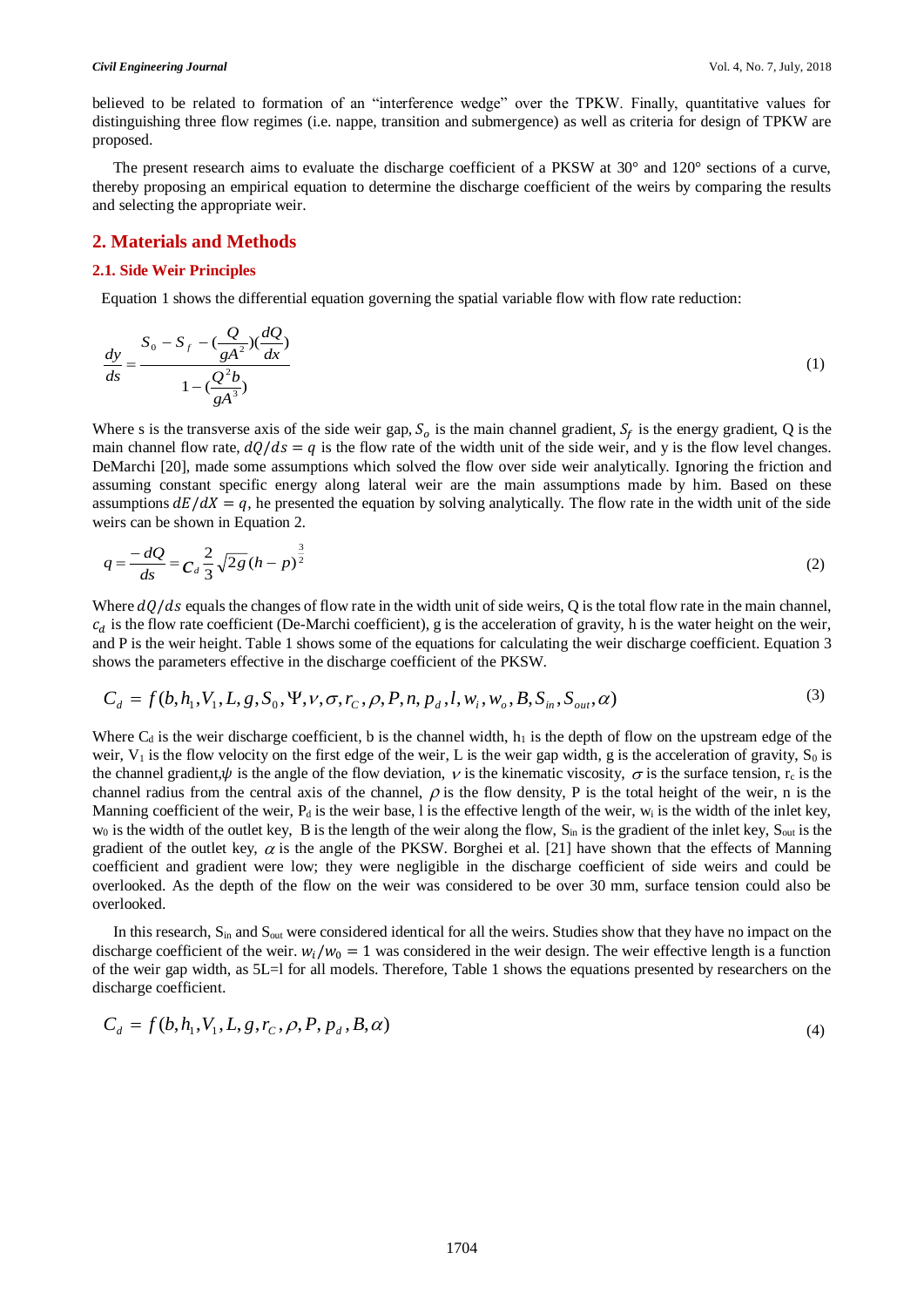believed to be related to formation of an "interference wedge" over the TPKW. Finally, quantitative values for distinguishing three flow regimes (i.e. nappe, transition and submergence) as well as criteria for design of TPKW are proposed.

The present research aims to evaluate the discharge coefficient of a PKSW at 30° and 120° sections of a curve, thereby proposing an empirical equation to determine the discharge coefficient of the weirs by comparing the results and selecting the appropriate weir.

#### **2. Materials and Methods**

#### **2.1. Side Weir Principles**

Equation 1 shows the differential equation governing the spatial variable flow with flow rate reduction:

$$
\frac{dy}{ds} = \frac{S_0 - S_f - (\frac{Q}{gA^2})(\frac{dQ}{dx})}{1 - (\frac{Q^2b}{gA^3})}
$$
(1)

Where s is the transverse axis of the side weir gap,  $S_0$  is the main channel gradient,  $S_f$  is the energy gradient, Q is the main channel flow rate,  $dQ/ds = q$  is the flow rate of the width unit of the side weir, and y is the flow level changes. DeMarchi [20], made some assumptions which solved the flow over side weir analytically. Ignoring the friction and assuming constant specific energy along lateral weir are the main assumptions made by him. Based on these assumptions  $dE/dX = q$ , he presented the equation by solving analytically. The flow rate in the width unit of the side weirs can be shown in Equation 2.

$$
q = \frac{-dQ}{ds} = C_d \frac{2}{3} \sqrt{2g} (h - p)^{\frac{3}{2}}
$$
 (2)

Where  $dQ/ds$  equals the changes of flow rate in the width unit of side weirs, Q is the total flow rate in the main channel,  $c_d$  is the flow rate coefficient (De-Marchi coefficient), g is the acceleration of gravity, h is the water height on the weir, and P is the weir height. Table 1 shows some of the equations for calculating the weir discharge coefficient. Equation 3 shows the parameters effective in the discharge coefficient of the PKSW.

$$
C_d = f(b, h_1, V_1, L, g, S_0, \Psi, \nu, \sigma, r_c, \rho, P, n, p_d, l, w_i, w_o, B, S_{in}, S_{out}, \alpha)
$$
\n(3)

Where  $C_d$  is the weir discharge coefficient, b is the channel width,  $h_1$  is the depth of flow on the upstream edge of the weir,  $V_1$  is the flow velocity on the first edge of the weir, L is the weir gap width, g is the acceleration of gravity,  $S_0$  is the channel gradient,  $\psi$  is the angle of the flow deviation,  $\nu$  is the kinematic viscosity,  $\sigma$  is the surface tension,  $r_c$  is the channel radius from the central axis of the channel,  $\rho$  is the flow density, P is the total height of the weir, n is the Manning coefficient of the weir,  $P_d$  is the weir base, l is the effective length of the weir,  $w_i$  is the width of the inlet key,  $w_0$  is the width of the outlet key, B is the length of the weir along the flow,  $S_{in}$  is the gradient of the inlet key,  $S_{out}$  is the gradient of the outlet key,  $\alpha$  is the angle of the PKSW. Borghei et al. [21] have shown that the effects of Manning coefficient and gradient were low; they were negligible in the discharge coefficient of side weirs and could be overlooked. As the depth of the flow on the weir was considered to be over 30 mm, surface tension could also be overlooked.

In this research,  $S_{in}$  and  $S_{out}$  were considered identical for all the weirs. Studies show that they have no impact on the discharge coefficient of the weir.  $w_i/w_0 = 1$  was considered in the weir design. The weir effective length is a function of the weir gap width, as 5L=l for all models. Therefore, Table 1 shows the equations presented by researchers on the discharge coefficient.

$$
C_d = f(b, h_1, V_1, L, g, r_C, \rho, P, p_d, B, \alpha)
$$
\n(4)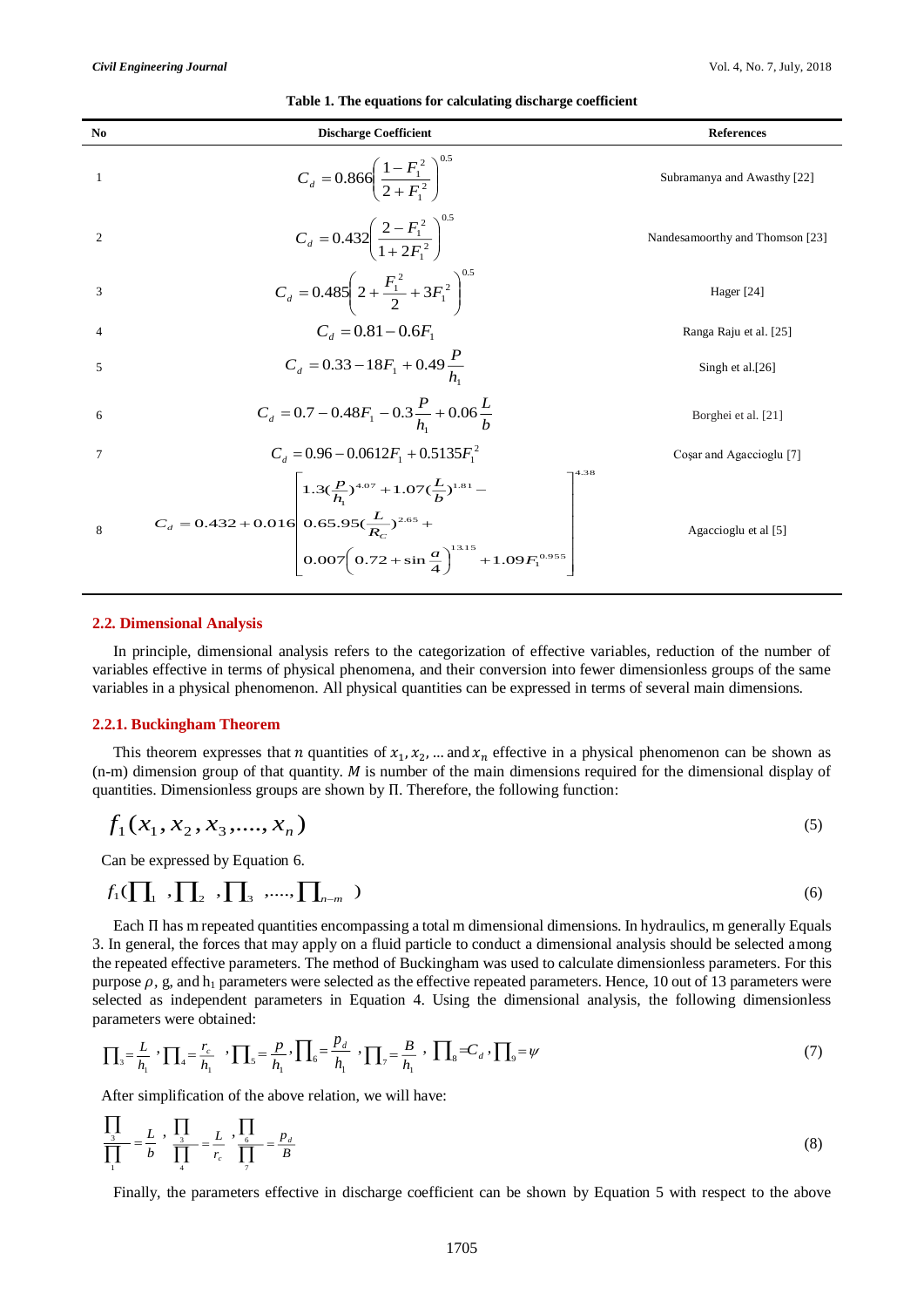| $\mathbf{N}\mathbf{0}$ | <b>Discharge Coefficient</b>                                                                                                                                                                                                          | <b>References</b>               |
|------------------------|---------------------------------------------------------------------------------------------------------------------------------------------------------------------------------------------------------------------------------------|---------------------------------|
| 1                      | $C_d = 0.866 \left( \frac{1 - F_1^2}{2 + F_1^2} \right)^{0.5}$                                                                                                                                                                        | Subramanya and Awasthy [22]     |
| 2                      | $C_d = 0.432 \left( \frac{2 - F_1^2}{1 + 2F_1^2} \right)^{0.5}$                                                                                                                                                                       | Nandesamoorthy and Thomson [23] |
| 3                      | $C_d = 0.485\left(2 + \frac{F_1^2}{2} + 3F_1^2\right)^{0.5}$                                                                                                                                                                          | Hager [24]                      |
| $\overline{4}$         | $C_d = 0.81 - 0.6F_1$                                                                                                                                                                                                                 | Ranga Raju et al. [25]          |
| 5                      | $C_d = 0.33 - 18F_1 + 0.49 \frac{P}{h}$                                                                                                                                                                                               | Singh et al.[26]                |
| 6                      | $C_d = 0.7 - 0.48F_1 - 0.3\frac{P}{h} + 0.06\frac{L}{h}$                                                                                                                                                                              | Borghei et al. [21]             |
| 7                      | $C_d = 0.96 - 0.0612F_1 + 0.5135F_1^2$                                                                                                                                                                                                | Cosar and Agaccioglu [7]        |
| 8                      | 4.38<br>$\left(1.3(\frac{p}{h_1})^{4.07}+1.07(\frac{L}{b})^{1.81}-\right.$<br>$C_d = 0.432 + 0.016 \left  0.65.95(\frac{L}{R_c})^{2.65} + \right.$<br>$\left[0.007\left(0.72+\sin{\frac{a}{4}}\right)\right]^{13.15}+1.09F_1^{0.955}$ | Agaccioglu et al [5]            |

#### **Table 1. The equations for calculating discharge coefficient**

#### **2.2. Dimensional Analysis**

In principle, dimensional analysis refers to the categorization of effective variables, reduction of the number of variables effective in terms of physical phenomena, and their conversion into fewer dimensionless groups of the same variables in a physical phenomenon. All physical quantities can be expressed in terms of several main dimensions.

#### **2.2.1. Buckingham Theorem**

This theorem expresses that *n* quantities of  $x_1, x_2, \dots$  and  $x_n$  effective in a physical phenomenon can be shown as  $(n-m)$  dimension group of that quantity. M is number of the main dimensions required for the dimensional display of quantities. Dimensionless groups are shown by Π. Therefore, the following function:

$$
f_1(x_1, x_2, x_3, \dots, x_n) \tag{5}
$$

Can be expressed by Equation 6.

$$
f_1(\prod_1, \prod_2, \prod_3, \ldots, \prod_{n-m} )
$$
 (6)

Each Π has m repeated quantities encompassing a total m dimensional dimensions. In hydraulics, m generally Equals 3. In general, the forces that may apply on a fluid particle to conduct a dimensional analysis should be selected among the repeated effective parameters. The method of Buckingham was used to calculate dimensionless parameters. For this purpose  $\rho$ , g, and  $h_1$  parameters were selected as the effective repeated parameters. Hence, 10 out of 13 parameters were selected as independent parameters in Equation 4. Using the dimensional analysis, the following dimensionless parameters were obtained:

$$
\prod_{3} = \frac{L}{h_1} \cdot \prod_{4} = \frac{r_c}{h_1} \cdot \prod_{5} = \frac{p}{h_1} \cdot \prod_{6} = \frac{p_d}{h_1} \cdot \prod_{7} = \frac{B}{h_1} \cdot \prod_{8} = C_d \cdot \prod_{9} = \psi
$$
\n(7)

After simplification of the above relation, we will have:

$$
\frac{\prod_{3}}{\prod_{1}} = \frac{L}{b}, \frac{\prod_{3}}{\prod_{4}} = \frac{L}{r_c}, \frac{\prod_{6}}{\prod_{7}} = \frac{p_d}{B}
$$
\n(8)

Finally, the parameters effective in discharge coefficient can be shown by Equation 5 with respect to the above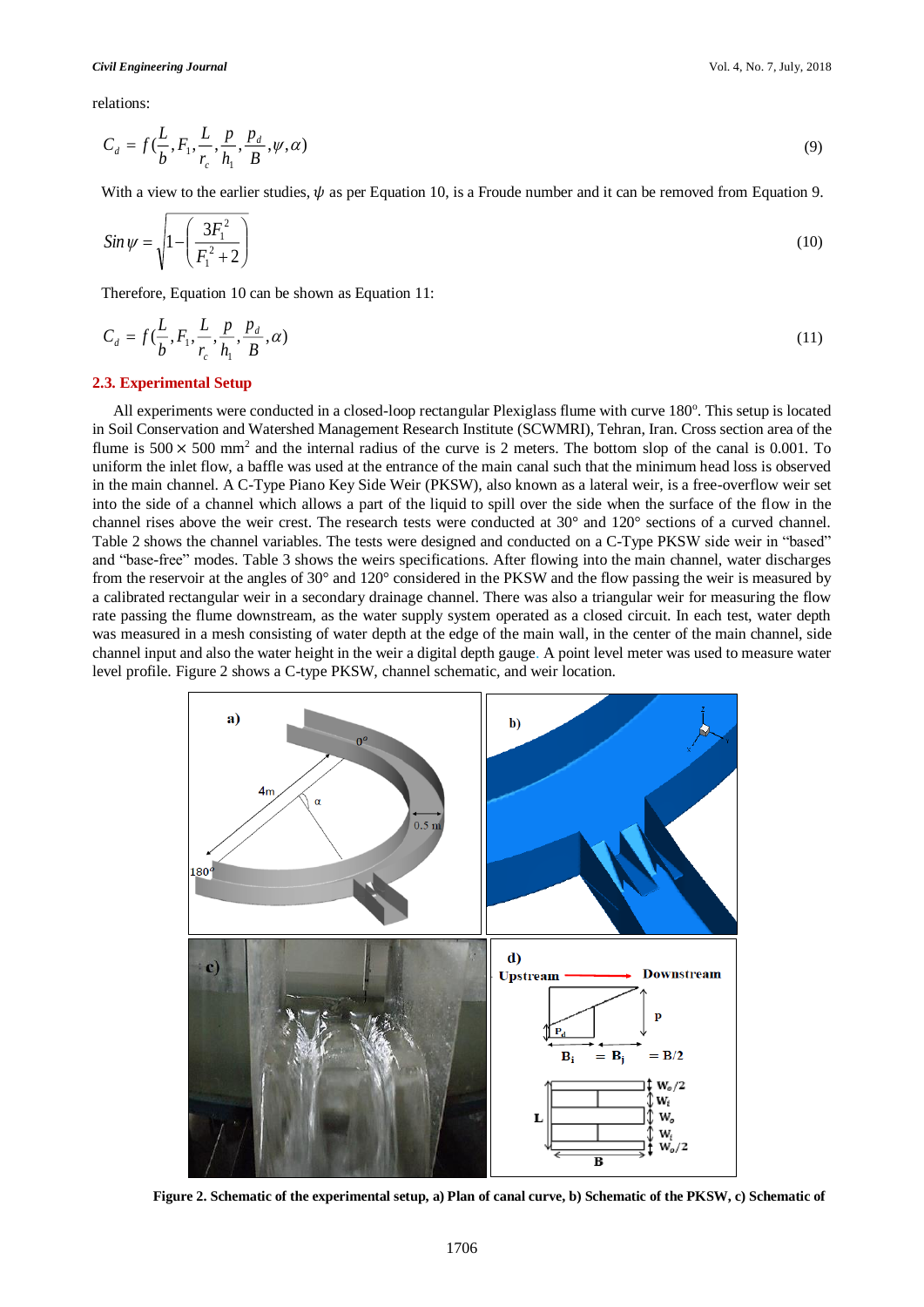relations:

$$
C_d = f\left(\frac{L}{b}, F_1, \frac{L}{r_c}, \frac{p}{h_1}, \frac{p_d}{B}, \psi, \alpha\right)
$$
\n<sup>(9)</sup>

With a view to the earlier studies,  $\psi$  as per Equation 10, is a Froude number and it can be removed from Equation 9.

$$
Sin \psi = \sqrt{1 - \left(\frac{3F_1^2}{F_1^2 + 2}\right)}
$$
(10)

Therefore, Equation 10 can be shown as Equation 11:

$$
C_d = f(\frac{L}{b}, F_1, \frac{L}{r_c}, \frac{p}{h_1}, \frac{p_d}{B}, \alpha) \tag{11}
$$

#### **2.3. Experimental Setup**

All experiments were conducted in a closed-loop rectangular Plexiglass flume with curve 180°. This setup is located in Soil Conservation and Watershed Management Research Institute (SCWMRI), Tehran, Iran. Cross section area of the flume is  $500 \times 500$  mm<sup>2</sup> and the internal radius of the curve is 2 meters. The bottom slop of the canal is 0.001. To uniform the inlet flow, a baffle was used at the entrance of the main canal such that the minimum head loss is observed in the main channel. A C-Type Piano Key Side Weir (PKSW), also known as a lateral weir, is a free-overflow weir set into the side of a channel which allows a part of the liquid to spill over the side when the surface of the flow in the channel rises above the weir crest. The research tests were conducted at 30° and 120° sections of a curved channel. Table 2 shows the channel variables. The tests were designed and conducted on a C-Type PKSW side weir in "based" and "base-free" modes. Table 3 shows the weirs specifications. After flowing into the main channel, water discharges from the reservoir at the angles of 30° and 120° considered in the PKSW and the flow passing the weir is measured by a calibrated rectangular weir in a secondary drainage channel. There was also a triangular weir for measuring the flow rate passing the flume downstream, as the water supply system operated as a closed circuit. In each test, water depth was measured in a mesh consisting of water depth at the edge of the main wall, in the center of the main channel, side channel input and also the water height in the weir a digital depth gauge. A point level meter was used to measure water level profile. Figure 2 shows a C-type PKSW, channel schematic, and weir location.



**Figure 2. Schematic of the experimental setup, a) Plan of canal curve, b) Schematic of the PKSW, c) Schematic of**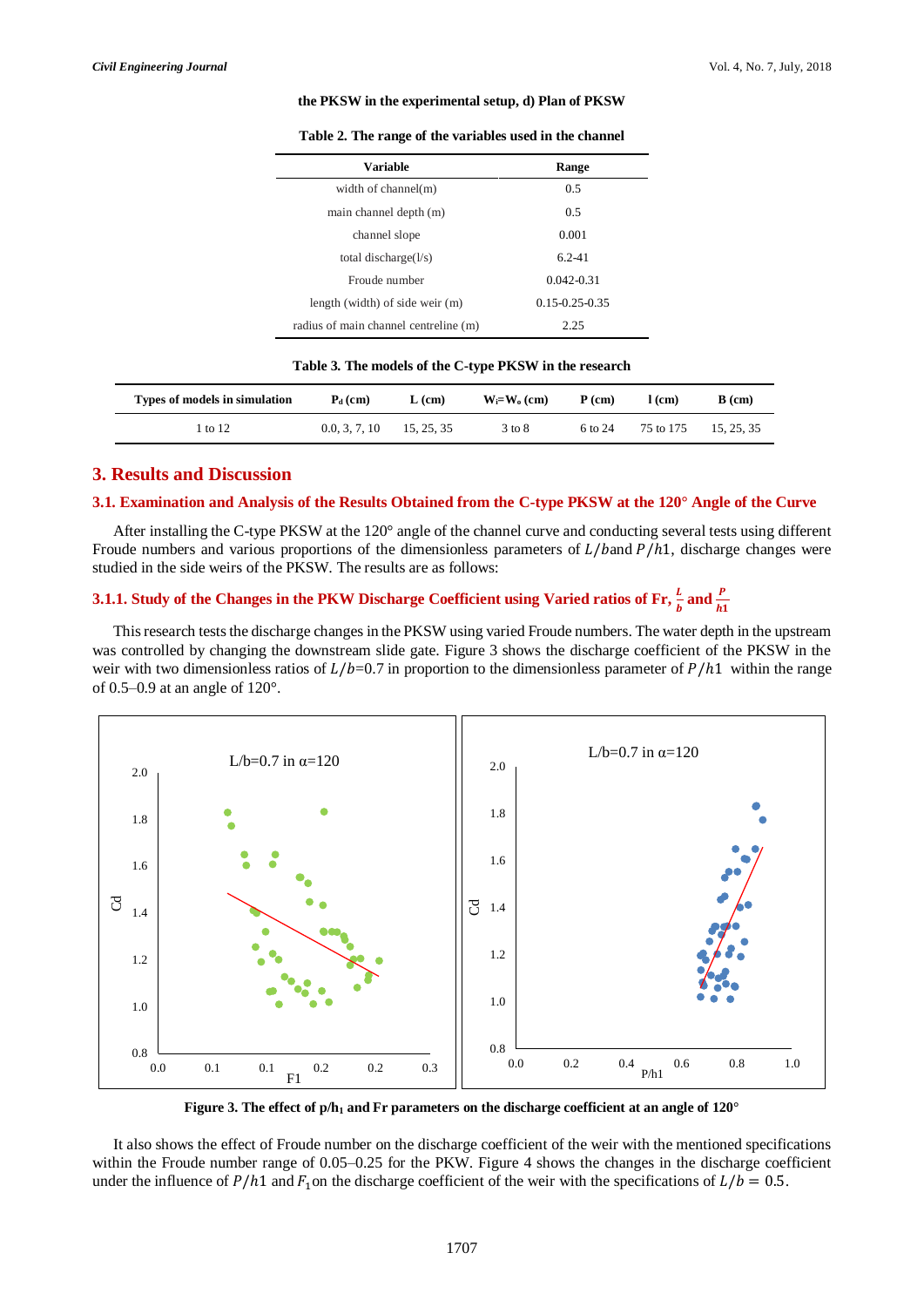#### **the PKSW in the experimental setup, d) Plan of PKSW**

| <b>Variable</b>                            | Range                |  |  |
|--------------------------------------------|----------------------|--|--|
| width of channel(m)                        | 0.5                  |  |  |
| main channel depth (m)                     | 0.5                  |  |  |
| channel slope                              | 0.001                |  |  |
| total discharge $\left(\frac{1}{s}\right)$ | $6.2 - 41$           |  |  |
| Froude number                              | $0.042 - 0.31$       |  |  |
| length (width) of side weir (m)            | $0.15 - 0.25 - 0.35$ |  |  |
| radius of main channel centreline (m)      | 2.25                 |  |  |

#### **Table 3. The models of the C-type PKSW in the research**

| Types of models in simulation | $P_d$ (cm)    | $L$ (cm)   | $W_i = W_0$ (cm) | $P$ (cm) | l (cm)    | B (cm)   |
|-------------------------------|---------------|------------|------------------|----------|-----------|----------|
| 1 to 12                       | 0.0, 3, 7, 10 | 15, 25, 35 | 3 to 8           | 6 to 24  | 75 to 175 | 15.25.35 |

#### **3. Results and Discussion**

#### **3.1. Examination and Analysis of the Results Obtained from the C-type PKSW at the 120° Angle of the Curve**

After installing the C-type PKSW at the 120° angle of the channel curve and conducting several tests using different Froude numbers and various proportions of the dimensionless parameters of  $L/b$  and  $P/h1$ , discharge changes were studied in the side weirs of the PKSW. The results are as follows:

## **3.1.1.** Study of the Changes in the PKW Discharge Coefficient using Varied ratios of Fr,  $\frac{L}{b}$  and  $\frac{P}{h1}$

This research tests the discharge changes in the PKSW using varied Froude numbers. The water depth in the upstream was controlled by changing the downstream slide gate. Figure 3 shows the discharge coefficient of the PKSW in the weir with two dimensionless ratios of  $L/b=0.7$  in proportion to the dimensionless parameter of  $P/h1$  within the range of 0.5–0.9 at an angle of 120°.



**Figure 3. The effect of p/h<sup>1</sup> and Fr parameters on the discharge coefficient at an angle of 120°**

It also shows the effect of Froude number on the discharge coefficient of the weir with the mentioned specifications within the Froude number range of 0.05–0.25 for the PKW. Figure 4 shows the changes in the discharge coefficient under the influence of  $P/h1$  and  $F_1$  on the discharge coefficient of the weir with the specifications of  $L/b = 0.5$ .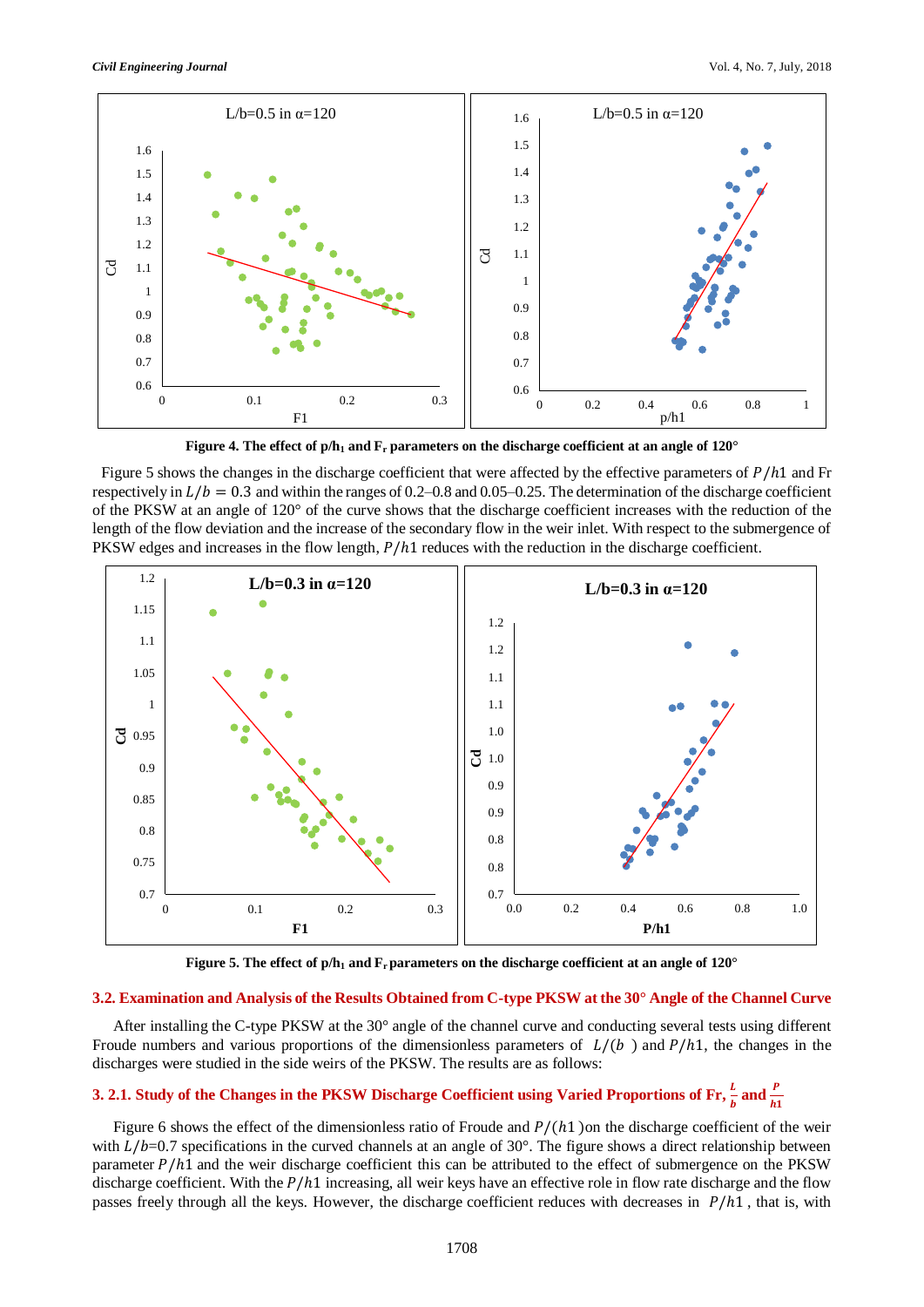

**Figure 4. The effect of p/h<sup>1</sup> and F<sup>r</sup> parameters on the discharge coefficient at an angle of 120°**

Figure 5 shows the changes in the discharge coefficient that were affected by the effective parameters of  $P/h1$  and Fr respectively in  $L/b = 0.3$  and within the ranges of 0.2–0.8 and 0.05–0.25. The determination of the discharge coefficient of the PKSW at an angle of 120° of the curve shows that the discharge coefficient increases with the reduction of the length of the flow deviation and the increase of the secondary flow in the weir inlet. With respect to the submergence of PKSW edges and increases in the flow length,  $P/h1$  reduces with the reduction in the discharge coefficient.



**Figure 5. The effect of p/h<sup>1</sup> and Frparameters on the discharge coefficient at an angle of 120°**

#### **3.2. Examination and Analysis of the Results Obtained from C-type PKSW at the 30° Angle of the Channel Curve**

After installing the C-type PKSW at the 30° angle of the channel curve and conducting several tests using different Froude numbers and various proportions of the dimensionless parameters of  $L/(b)$  and  $P/h1$ , the changes in the discharges were studied in the side weirs of the PKSW. The results are as follows:

## **3. 2.1.** Study of the Changes in the PKSW Discharge Coefficient using Varied Proportions of Fr,  $\frac{l}{b}$  and  $\frac{P}{h1}$

Figure 6 shows the effect of the dimensionless ratio of Froude and  $P/(h1)$  on the discharge coefficient of the weir with  $L/b=0.7$  specifications in the curved channels at an angle of 30°. The figure shows a direct relationship between parameter  $P/h1$  and the weir discharge coefficient this can be attributed to the effect of submergence on the PKSW discharge coefficient. With the  $P/h1$  increasing, all weir keys have an effective role in flow rate discharge and the flow passes freely through all the keys. However, the discharge coefficient reduces with decreases in  $P/h1$ , that is, with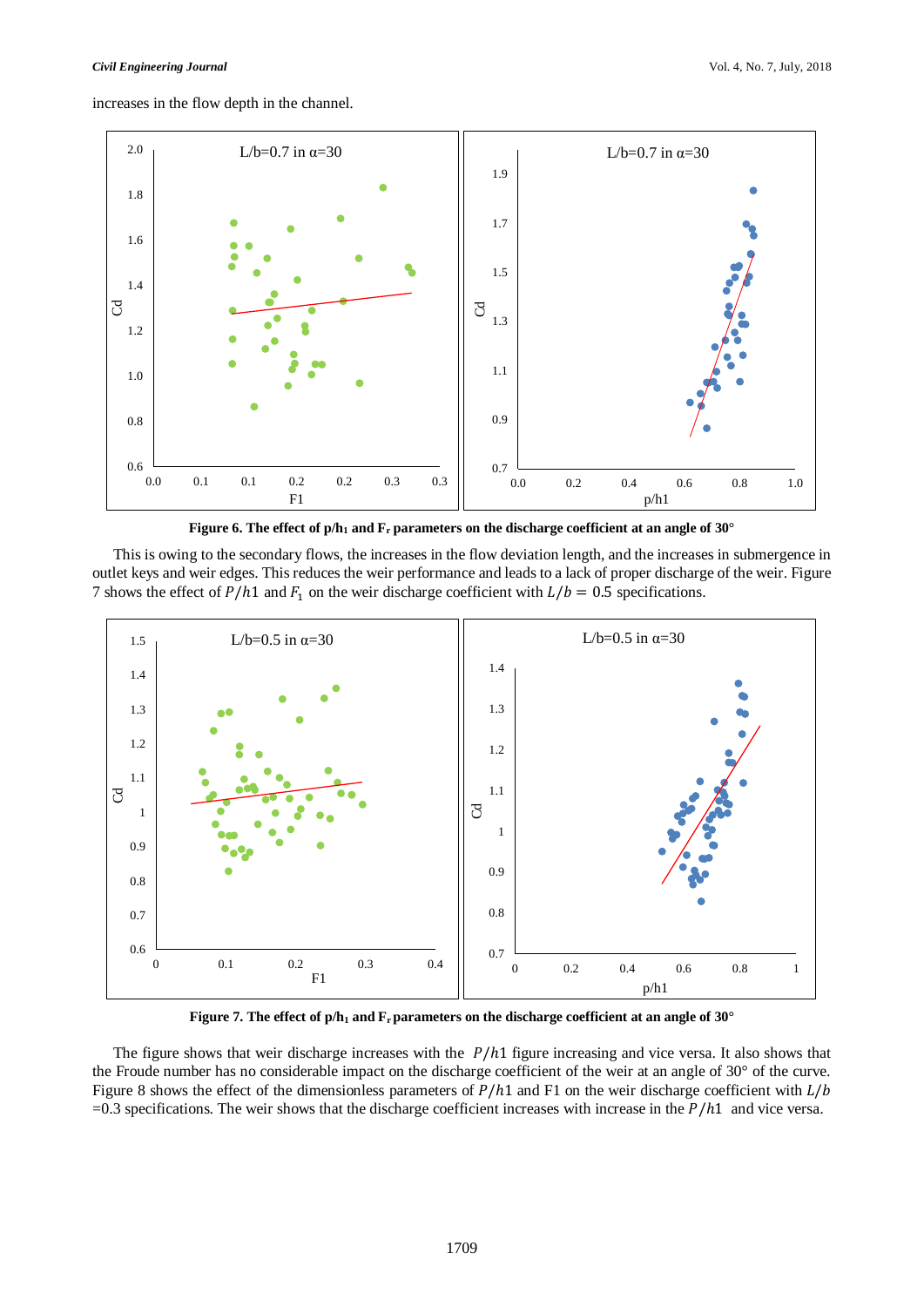increases in the flow depth in the channel.



**Figure 6. The effect of p/h<sup>1</sup> and F<sup>r</sup> parameters on the discharge coefficient at an angle of 30°**

This is owing to the secondary flows, the increases in the flow deviation length, and the increases in submergence in outlet keys and weir edges. This reduces the weir performance and leads to a lack of proper discharge of the weir. Figure 7 shows the effect of  $P/h1$  and  $F_1$  on the weir discharge coefficient with  $L/b = 0.5$  specifications.



**Figure 7. The effect of p/h<sup>1</sup> and Frparameters on the discharge coefficient at an angle of 30°**

The figure shows that weir discharge increases with the  $P/h1$  figure increasing and vice versa. It also shows that the Froude number has no considerable impact on the discharge coefficient of the weir at an angle of 30° of the curve. Figure 8 shows the effect of the dimensionless parameters of  $P/h1$  and F1 on the weir discharge coefficient with  $L/b$  $=0.3$  specifications. The weir shows that the discharge coefficient increases with increase in the  $P/h1$  and vice versa.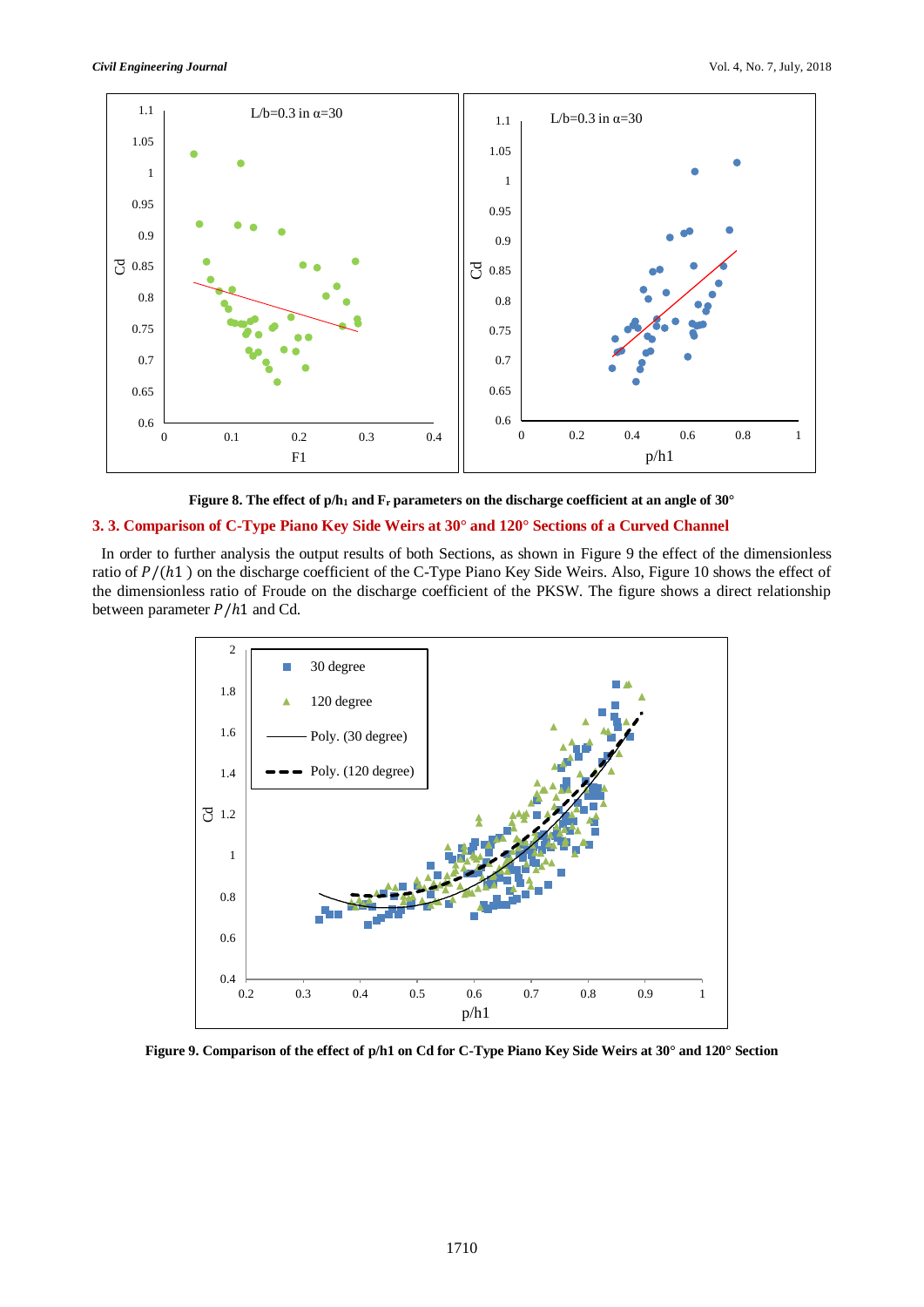



#### **3. 3. Comparison of C-Type Piano Key Side Weirs at 30° and 120° Sections of a Curved Channel**

In order to further analysis the output results of both Sections, as shown in Figure 9 the effect of the dimensionless ratio of  $P/(h1)$  on the discharge coefficient of the C-Type Piano Key Side Weirs. Also, Figure 10 shows the effect of the dimensionless ratio of Froude on the discharge coefficient of the PKSW. The figure shows a direct relationship between parameter  $P/h1$  and Cd.



**Figure 9. Comparison of the effect of p/h1 on Cd for C-Type Piano Key Side Weirs at 30° and 120° Section**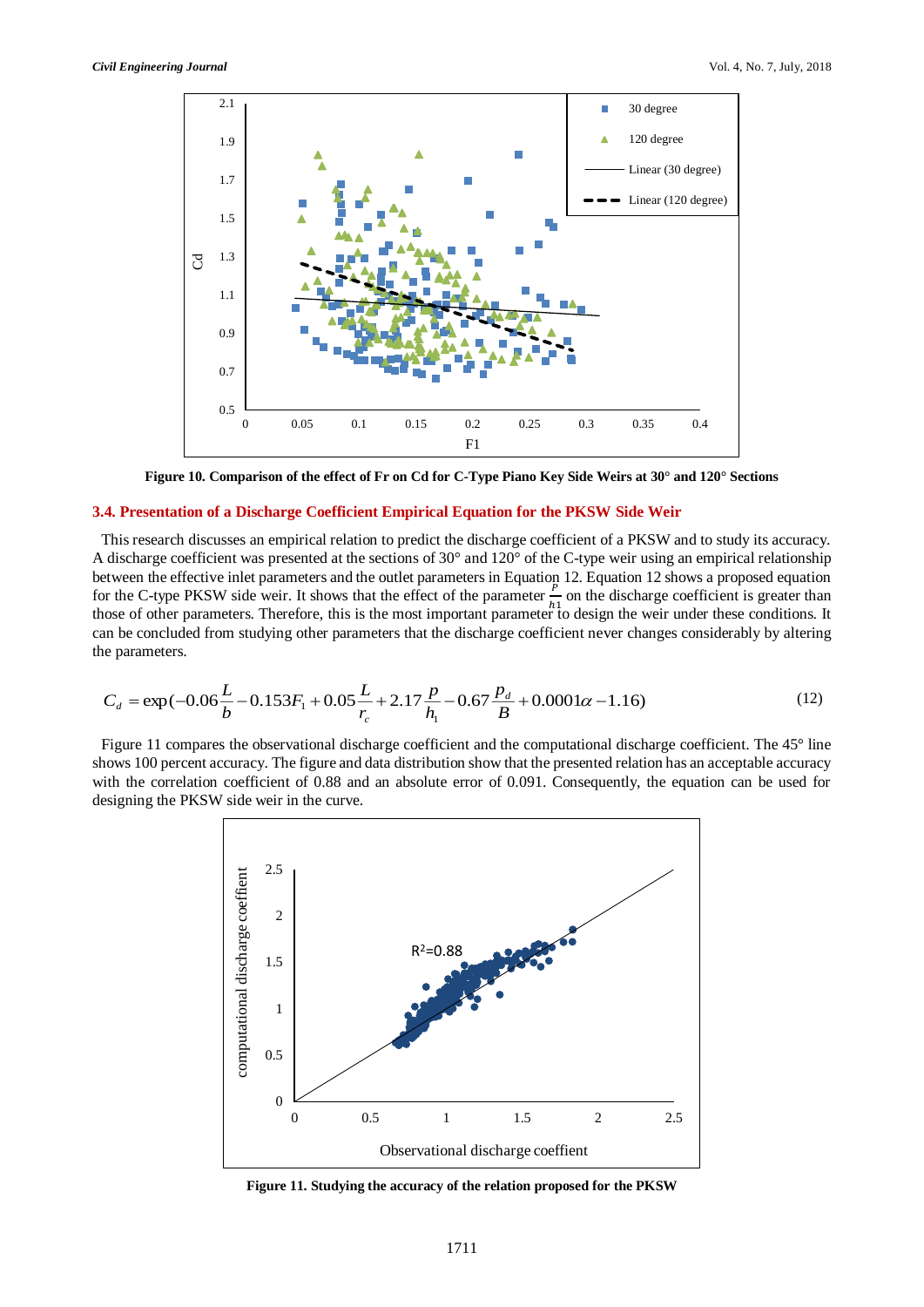

**Figure 10. Comparison of the effect of Fr on Cd for C-Type Piano Key Side Weirs at 30° and 120° Sections**

#### **3.4. Presentation of a Discharge Coefficient Empirical Equation for the PKSW Side Weir**

This research discusses an empirical relation to predict the discharge coefficient of a PKSW and to study its accuracy. A discharge coefficient was presented at the sections of 30° and 120° of the C-type weir using an empirical relationship between the effective inlet parameters and the outlet parameters in Equation 12. Equation 12 shows a proposed equation for the C-type PKSW side weir. It shows that the effect of the parameter  $\frac{P}{L}$  $\frac{1}{h_1}$  on the discharge coefficient is greater than those of other parameters. Therefore, this is the most important parameter to design the weir under these conditions. It can be concluded from studying other parameters that the discharge coefficient never changes considerably by altering the parameters.

$$
C_d = \exp(-0.06\frac{L}{b} - 0.153F_1 + 0.05\frac{L}{r_c} + 2.17\frac{p}{h_1} - 0.67\frac{p_d}{B} + 0.0001\alpha - 1.16)
$$
\n(12)

Figure 11 compares the observational discharge coefficient and the computational discharge coefficient. The 45° line shows 100 percent accuracy. The figure and data distribution show that the presented relation has an acceptable accuracy with the correlation coefficient of 0.88 and an absolute error of 0.091. Consequently, the equation can be used for designing the PKSW side weir in the curve.



**Figure 11. Studying the accuracy of the relation proposed for the PKSW**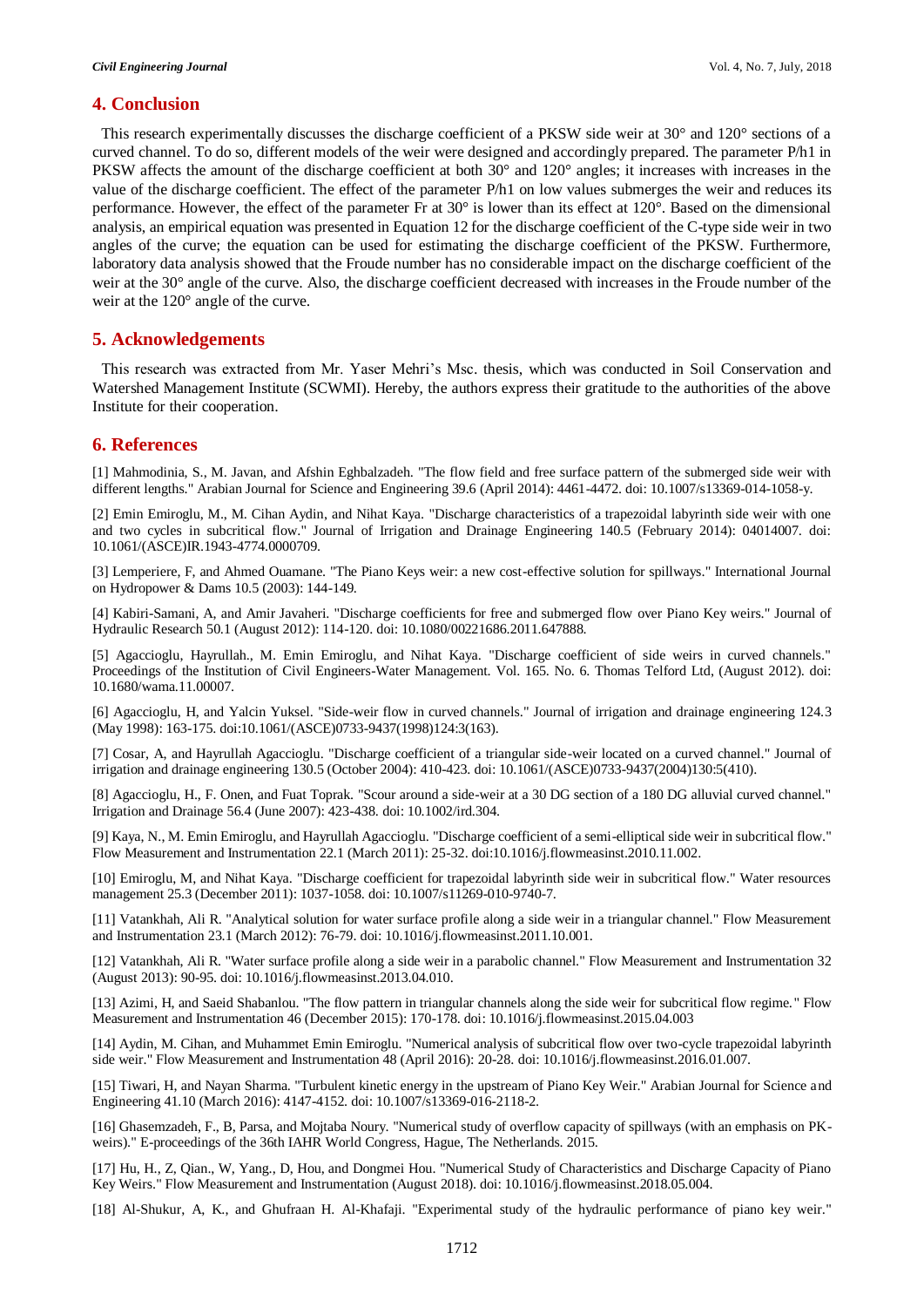#### **4. Conclusion**

This research experimentally discusses the discharge coefficient of a PKSW side weir at 30° and 120° sections of a curved channel. To do so, different models of the weir were designed and accordingly prepared. The parameter P/h1 in PKSW affects the amount of the discharge coefficient at both 30° and 120° angles; it increases with increases in the value of the discharge coefficient. The effect of the parameter P/h1 on low values submerges the weir and reduces its performance. However, the effect of the parameter Fr at 30° is lower than its effect at 120°. Based on the dimensional analysis, an empirical equation was presented in Equation 12 for the discharge coefficient of the C-type side weir in two angles of the curve; the equation can be used for estimating the discharge coefficient of the PKSW. Furthermore, laboratory data analysis showed that the Froude number has no considerable impact on the discharge coefficient of the weir at the 30° angle of the curve. Also, the discharge coefficient decreased with increases in the Froude number of the weir at the 120° angle of the curve.

#### **5. Acknowledgements**

This research was extracted from Mr. Yaser Mehri's Msc. thesis, which was conducted in Soil Conservation and Watershed Management Institute (SCWMI). Hereby, the authors express their gratitude to the authorities of the above Institute for their cooperation.

#### **6. References**

[1] Mahmodinia, S., M. Javan, and Afshin Eghbalzadeh. "The flow field and free surface pattern of the submerged side weir with different lengths." Arabian Journal for Science and Engineering 39.6 (April 2014): 4461-4472. doi: 10.1007/s13369-014-1058-y.

[2] Emin Emiroglu, M., M. Cihan Aydin, and Nihat Kaya. "Discharge characteristics of a trapezoidal labyrinth side weir with one and two cycles in subcritical flow." Journal of Irrigation and Drainage Engineering 140.5 (February 2014): 04014007. doi: 10.1061/(ASCE)IR.1943-4774.0000709.

[3] Lemperiere, F, and Ahmed Ouamane. "The Piano Keys weir: a new cost-effective solution for spillways." International Journal on Hydropower & Dams 10.5 (2003): 144-149.

[4] Kabiri-Samani, A, and Amir Javaheri. "Discharge coefficients for free and submerged flow over Piano Key weirs." Journal of Hydraulic Research 50.1 (August 2012): 114-120. doi: 10.1080/00221686.2011.647888.

[5] Agaccioglu, Hayrullah., M. Emin Emiroglu, and Nihat Kaya. "Discharge coefficient of side weirs in curved channels." Proceedings of the Institution of Civil Engineers-Water Management. Vol. 165. No. 6. Thomas Telford Ltd, (August 2012). doi: 10.1680/wama.11.00007.

[6] Agaccioglu, H, and Yalcin Yuksel. "Side-weir flow in curved channels." Journal of irrigation and drainage engineering 124.3 (May 1998): 163-175. doi:10.1061/(ASCE)0733-9437(1998)124:3(163).

[7] Cosar, A, and Hayrullah Agaccioglu. "Discharge coefficient of a triangular side-weir located on a curved channel." Journal of irrigation and drainage engineering 130.5 (October 2004): 410-423. doi: 10.1061/(ASCE)0733-9437(2004)130:5(410).

[8] Agaccioglu, H., F. Onen, and Fuat Toprak. "Scour around a side-weir at a 30 DG section of a 180 DG alluvial curved channel." Irrigation and Drainage 56.4 (June 2007): 423-438. doi: 10.1002/ird.304.

[9] Kaya, N., M. Emin Emiroglu, and Hayrullah Agaccioglu. "Discharge coefficient of a semi-elliptical side weir in subcritical flow." Flow Measurement and Instrumentation 22.1 (March 2011): 25-32. doi:10.1016/j.flowmeasinst.2010.11.002.

[10] Emiroglu, M, and Nihat Kaya. "Discharge coefficient for trapezoidal labyrinth side weir in subcritical flow." Water resources management 25.3 (December 2011): 1037-1058. doi: 10.1007/s11269-010-9740-7.

[11] Vatankhah, Ali R. "Analytical solution for water surface profile along a side weir in a triangular channel." Flow Measurement and Instrumentation 23.1 (March 2012): 76-79. doi: 10.1016/j.flowmeasinst.2011.10.001.

[12] Vatankhah, Ali R. "Water surface profile along a side weir in a parabolic channel." Flow Measurement and Instrumentation 32 (August 2013): 90-95. doi: 10.1016/j.flowmeasinst.2013.04.010.

[13] Azimi, H, and Saeid Shabanlou. "The flow pattern in triangular channels along the side weir for subcritical flow regime." Flow Measurement and Instrumentation 46 (December 2015): 170-178. doi: 10.1016/j.flowmeasinst.2015.04.003

[14] Aydin, M. Cihan, and Muhammet Emin Emiroglu. "Numerical analysis of subcritical flow over two-cycle trapezoidal labyrinth side weir." Flow Measurement and Instrumentation 48 (April 2016): 20-28. doi: 10.1016/j.flowmeasinst.2016.01.007.

[15] Tiwari, H, and Nayan Sharma. "Turbulent kinetic energy in the upstream of Piano Key Weir." Arabian Journal for Science and Engineering 41.10 (March 2016): 4147-4152. doi: 10.1007/s13369-016-2118-2.

[16] Ghasemzadeh, F., B, Parsa, and Mojtaba Noury. "Numerical study of overflow capacity of spillways (with an emphasis on PKweirs)." E-proceedings of the 36th IAHR World Congress, Hague, The Netherlands. 2015.

[17] Hu, H., Z, Qian., W, Yang., D, Hou, and Dongmei Hou. "Numerical Study of Characteristics and Discharge Capacity of Piano Key Weirs." Flow Measurement and Instrumentation (August 2018). doi: 10.1016/j.flowmeasinst.2018.05.004.

[18] Al-Shukur, A, K., and Ghufraan H. Al-Khafaji. "Experimental study of the hydraulic performance of piano key weir."